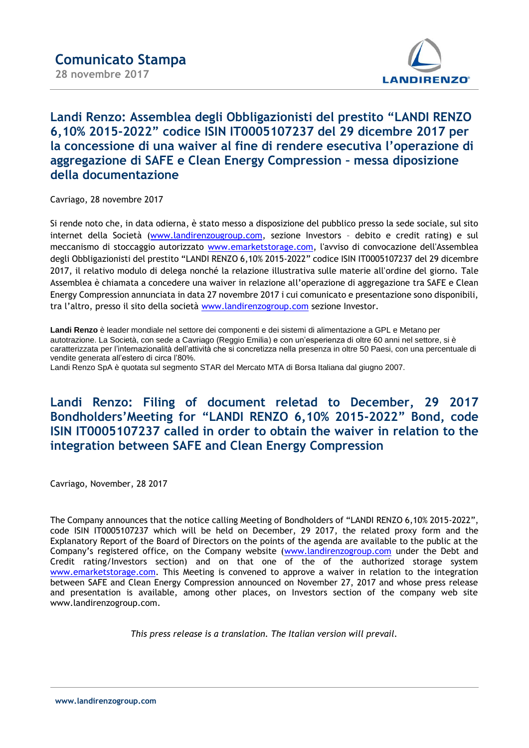

## **Landi Renzo: Assemblea degli Obbligazionisti del prestito "LANDI RENZO 6,10% 2015-2022" codice ISIN IT0005107237 del 29 dicembre 2017 per la concessione di una waiver al fine di rendere esecutiva l'operazione di aggregazione di SAFE e Clean Energy Compression – messa diposizione della documentazione**

Cavriago, 28 novembre 2017

Si rende noto che, in data odierna, è stato messo a disposizione del pubblico presso la sede sociale, sul sito internet della Società [\(www.landirenzougroup.com,](http://www.landirenzougroup.com/) sezione Investors – debito e credit rating) e sul meccanismo di stoccaggio autorizzato [www.emarketstorage.c](http://www.emarketstorage./)om, l'avviso di convocazione dell'Assemblea degli Obbligazionisti del prestito "LANDI RENZO 6,10% 2015-2022" codice ISIN IT0005107237 del 29 dicembre 2017, il relativo modulo di delega nonché la relazione illustrativa sulle materie all'ordine del giorno. Tale Assemblea è chiamata a concedere una waiver in relazione all'operazione di aggregazione tra SAFE e Clean Energy Compression annunciata in data 27 novembre 2017 i cui comunicato e presentazione sono disponibili, tra l'altro, presso il sito della società [www.landirenzogroup.com](http://www.landirenzogroup.com/) sezione Investor.

**Landi Renzo** è leader mondiale nel settore dei componenti e dei sistemi di alimentazione a GPL e Metano per autotrazione. La Società, con sede a Cavriago (Reggio Emilia) e con un'esperienza di oltre 60 anni nel settore, si è caratterizzata per l'internazionalità dell'attività che si concretizza nella presenza in oltre 50 Paesi, con una percentuale di vendite generata all'estero di circa l'80%.

Landi Renzo SpA è quotata sul segmento STAR del Mercato MTA di Borsa Italiana dal giugno 2007.

## **Landi Renzo: Filing of document reletad to December, 29 2017 Bondholders'Meeting for "LANDI RENZO 6,10% 2015-2022" Bond, code ISIN IT0005107237 called in order to obtain the waiver in relation to the integration between SAFE and Clean Energy Compression**

Cavriago, November, 28 2017

The Company announces that the notice calling Meeting of Bondholders of "LANDI RENZO 6,10% 2015-2022", code ISIN IT0005107237 which will be held on December, 29 2017, the related proxy form and the Explanatory Report of the Board of Directors on the points of the agenda are available to the public at the Company's registered office, on the Company website [\(www.landirenzogroup.com](http://www.landirenzogroup.com/) under the Debt and Credit rating/Investors section) and on that one of the of the authorized storage system [www.emarketstorage.com.](http://www.emarketstorage.com/) This Meeting is convened to approve a waiver in relation to the integration between SAFE and Clean Energy Compression announced on November 27, 2017 and whose press release and presentation is available, among other places, on Investors section of the company web site www.landirenzogroup.com.

*This press release is a translation. The Italian version will prevail.*